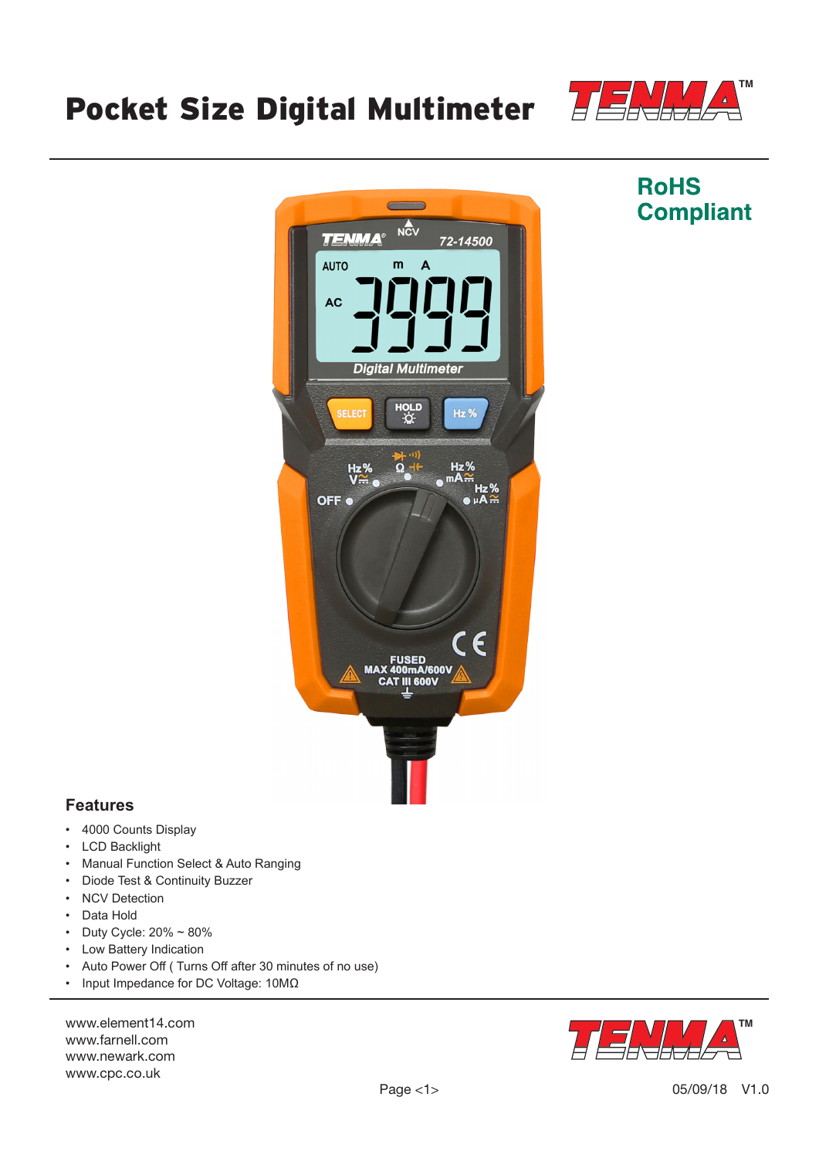# Pocket Size Digital Multimeter



**RoHS** 

**Compliant** 



## **Features**

- 4000 Counts Display
- LCD Backlight
- Manual Function Select & Auto Ranging
- Diode Test & Continuity Buzzer
- NCV Detection
- Data Hold
- Duty Cycle: 20% ~ 80%
- Low Battery Indication
- Auto Power Off ( Turns Off after 30 minutes of no use)
- Input Impedance for DC Voltage: 10MΩ

www.element14.com www.farnell.com www.newark.com www.cpc.co.uk